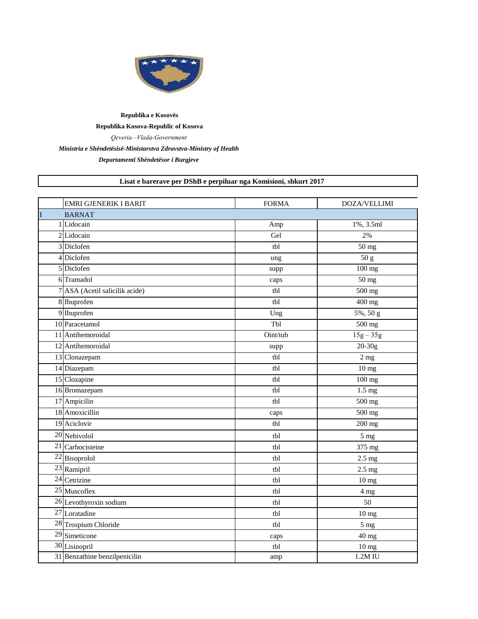

## **Republika e Kosovës Republika Kosova-Republic of Kosova** *Qeveria –Vlada-Government Ministria e Shëndetësisë-Ministarstva Zdravstva-Ministry of Health*

*Departamenti Shëndetësor i Burgjeve*

## **Lisat e barerave per DShB e perpiluar nga Komisioni, shkurt 2017**

|                | <b>EMRI GJENERIK I BARIT</b>   | <b>FORMA</b> | DOZA/VELLIMI                            |
|----------------|--------------------------------|--------------|-----------------------------------------|
| $\overline{I}$ | <b>BARNAT</b>                  |              |                                         |
|                | 1 Lidocain                     | Amp          | 1%, 3.5ml                               |
|                | 2 Lidocain                     | Gel          | 2%                                      |
|                | 3 Diclofen                     | tbl          | $\overline{50}$ mg                      |
|                | 4 Diclofen                     | ung          | 50 g                                    |
|                | 5 Diclofen                     | supp         | $\frac{100 \text{ mg}}{100 \text{ mg}}$ |
|                | 6 Tramadol                     | caps         | $50$ mg                                 |
|                | 7 ASA (Acetil salicilik acide) | tbl          | $\frac{1}{500}$ mg                      |
|                | 8 Ibuprofen                    | tbl          | 400 mg                                  |
|                | 9 Ibuprofen                    | Ung          | $5\%, 50 g$                             |
|                | 10 Paracetamol                 | Tbl          | $500$ mg                                |
|                | 11 Antihemoroidal              | Oint/tub     | $15g - 35g$                             |
|                | 12 Antihemoroidal              | supp         | $20 - 30g$                              |
|                | 13 Clonazepam                  | tbl          | 2 <sub>mg</sub>                         |
|                | 14 Diazepam                    | tbl          | $10$ mg                                 |
|                | 15 Clozapine                   | tbl          | $\overline{100}$ mg                     |
|                | 16 Bromazepam                  | tbl          | $1.5 \text{ mg}$                        |
|                | 17 Ampicilin                   | tbl          | $\overline{500}$ mg                     |
|                | 18 Amoxicillin                 | caps         | 500 mg                                  |
|                | 19 Aciclovir                   | tbl          | 200 mg                                  |
|                | 20 Nebivolol                   | tbl          | 5 <sub>mg</sub>                         |
|                | $\overline{21}$ Carbocisteine  | tbl          | 375 mg                                  |
|                | 22 Bisoprolol                  | tbl          | $2.5$ mg                                |
|                | 23 Ramipril                    | tbl          | $2.5 \text{ mg}$                        |
|                | 24 Cetrizine                   | tbl          | 10 <sub>mg</sub>                        |
|                | 25 Muscoflex                   | tbl          | 4 mg                                    |
|                | 26 Levothyroxin sodium         | tbl          | 50                                      |
|                | 27 Loratadine                  | tbl          | 10 mg                                   |
|                | 28 Trospium Chloride           | tbl          | 5 <sub>mg</sub>                         |
|                | 29 Simeticone                  | caps         | 40 mg                                   |
|                | 30 Lisinopril                  | tbl          | 10 mg                                   |
|                | 31 Benzathine benzilpenicilin  | amp          | 1.2M IU                                 |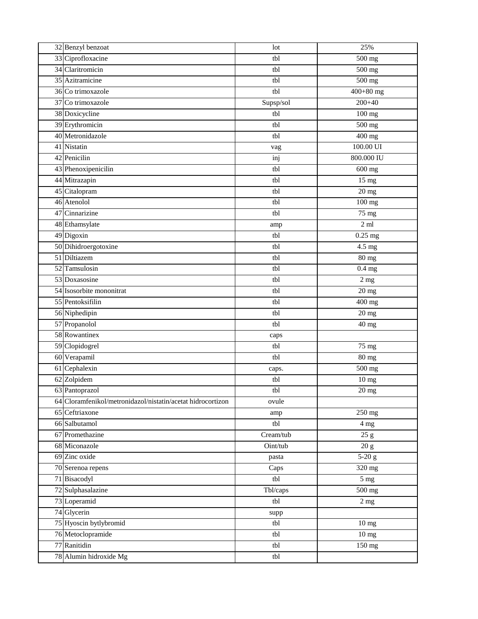| 32 Benzyl benzoat                                           | lot       | 25%                  |
|-------------------------------------------------------------|-----------|----------------------|
| 33 Ciprofloxacine                                           | tbl       | 500 mg               |
| 34 Claritromicin                                            | tbl       | 500 mg               |
| 35 Azitramicine                                             | tbl       | 500 mg               |
| 36 Co trimoxazole                                           | tbl       | $400+80$ mg          |
| 37 Co trimoxazole                                           | Supsp/sol | $200 + 40$           |
| 38 Doxicycline                                              | tbl       | 100 mg               |
| 39 Erythromicin                                             | tbl       | 500 mg               |
| 40 Metronidazole                                            | tbl       | 400 mg               |
| 41 Nistatin                                                 | vag       | 100.00 UI            |
| 42 Penicilin                                                | inj       | 800.000 IU           |
| 43 Phenoxipenicilin                                         | tbl       | 600 mg               |
| 44 Mitrazapin                                               | tbl       | $15$ mg              |
| 45 Citalopram                                               | tbl       | $20$ mg              |
| 46 Atenolol                                                 | tbl       | 100 mg               |
| 47 Cinnarizine                                              | tbl       | 75 mg                |
| 48 Ethamsylate                                              | amp       | $2 \text{ ml}$       |
| 49 Digoxin                                                  | tbl       | $\overline{0.25}$ mg |
| 50 Dihidroergotoxine                                        | tbl       | 4.5 mg               |
| 51 Diltiazem                                                | tbl       | 80 mg                |
| 52 Tamsulosin                                               | tbl       | $0.4$ mg             |
| 53 Doxasosine                                               | tbl       | $2$ mg               |
| 54 Isosorbite mononitrat                                    | tbl       | $20$ mg              |
| 55 Pentoksifilin                                            | tbl       | 400 mg               |
| 56 Niphedipin                                               | tbl       | $20$ mg              |
| 57 Propanolol                                               | tbl       | 40 mg                |
| 58 Rowantinex                                               | caps      |                      |
| 59 Clopidogrel                                              | tbl       | $75 \text{ mg}$      |
| 60 Verapamil                                                | tbl       | 80 mg                |
| 61 Cephalexin                                               | caps.     | 500 mg               |
| 62 Zolpidem                                                 | tbl       | $\overline{10}$ mg   |
| 63 Pantoprazol                                              | tbl       | $\overline{20}$ mg   |
| 64 Cloramfenikol/metronidazol/nistatin/acetat hidrocortizon | ovule     |                      |
| 65 Ceftriaxone                                              | amp       | 250 mg               |
| 66 Salbutamol                                               | tbl       | 4 mg                 |
| 67 Promethazine                                             | Cream/tub | 25 g                 |
| 68 Miconazole                                               | Oint/tub  | 20 g                 |
| 69 Zinc oxide                                               | pasta     | $5-20 g$             |
| 70 Serenoa repens                                           | Caps      | $\overline{3}20$ mg  |
| 71 Bisacodyl                                                | tbl       | 5 <sub>mg</sub>      |
| 72 Sulphasalazine                                           | Tbl/caps  | 500 mg               |
| 73 Loperamid                                                | tbl       | 2 <sub>mg</sub>      |
| 74 Glycerin                                                 | supp      |                      |
| 75 Hyoscin bytlybromid                                      | tbl       | 10 <sub>mg</sub>     |
| 76 Metoclopramide                                           | tbl       | $\overline{10}$ mg   |
| 77 Ranitidin                                                | tbl       | 150 mg               |
| 78 Alumin hidroxide Mg                                      | tbl       |                      |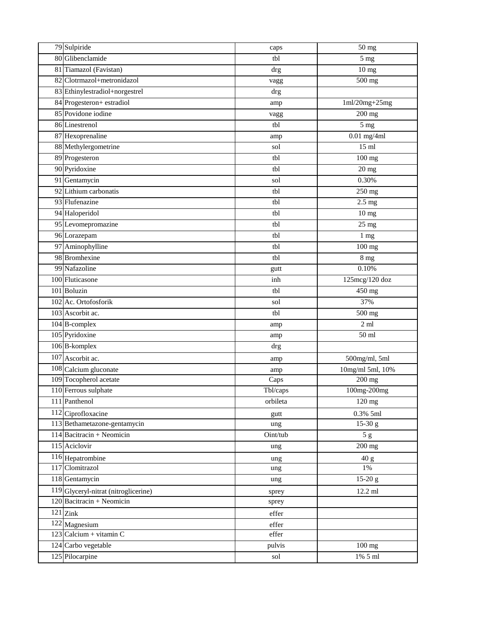| 79 Sulpiride                         | caps     | 50 mg                          |
|--------------------------------------|----------|--------------------------------|
| 80 Glibenclamide                     | tbl      | 5 <sub>mg</sub>                |
| 81 Tiamazol (Favistan)               | drg      | 10 <sub>mg</sub>               |
| 82 Clotrmazol+metronidazol           | vagg     | 500 mg                         |
| 83 Ethinylestradiol+norgestrel       | drg      |                                |
| 84 Progesteron+ estradiol            | amp      | $1ml/20mg+25mg$                |
| 85 Povidone iodine                   | vagg     | 200 mg                         |
| 86 Linestrenol                       | tbl      | 5 <sub>mg</sub>                |
| 87 Hexoprenaline                     | amp      | $0.01$ mg/4ml                  |
| 88 Methylergometrine                 | sol      | $15 \text{ ml}$                |
| 89 Progesteron                       | tbl      | 100 mg                         |
| 90 Pyridoxine                        | tbl      | $20$ mg                        |
| 91 Gentamycin                        | sol      | 0.30%                          |
| 92 Lithium carbonatis                | tbl      | 250 mg                         |
| 93 Flufenazine                       | tbl      | $2.5 \text{ mg}$               |
| 94 Haloperidol                       | tbl      | 10 <sub>mg</sub>               |
| 95 Levomepromazine                   | tbl      | 25 mg                          |
| 96 Lorazepam                         | tbl      | 1 mg                           |
| 97 Aminophylline                     | tbl      | 100 mg                         |
| 98 Bromhexine                        | tbl      | 8 <sub>mg</sub>                |
| 99 Nafazoline                        | gutt     | 0.10%                          |
| 100 Fluticasone                      | inh      | 125mcg/120 doz                 |
| 101 Boluzin                          | tbl      | 450 mg                         |
| 102 Ac. Ortofosforik                 | sol      | 37%                            |
| 103 Ascorbit ac.                     | tbl      | 500 mg                         |
| 104 B-complex                        | amp      | $2 \text{ ml}$                 |
| 105 Pyridoxine                       | amp      | $50$ ml                        |
| 106 B-komplex                        | drg      |                                |
| 107 Ascorbit ac.                     | amp      | 500mg/ml, 5ml                  |
| 108 Calcium gluconate                | amp      | $10\mathrm{mg/ml}$ 5ml, $10\%$ |
| 109 Tocopherol acetate               | Caps     | 200 mg                         |
| 110 Ferrous sulphate                 | Tbl/caps | $\overline{100mg-200}$ mg      |
| 111 Panthenol                        | orbileta | 120 mg                         |
| 112 Ciprofloxacine                   | gutt     | 0.3% 5ml                       |
| 113 Bethametazone-gentamycin         | ung      | $15-30 g$                      |
| 114 Bacitracin + Neomicin            | Oint/tub | 5g                             |
| 115 Aciclovir                        | ung      | 200 mg                         |
| 116 Hepatrombine                     | ung      | 40 g                           |
| 117 Clomitrazol                      | ung      | 1%                             |
| 118 Gentamycin                       | ung      | $15-20 g$                      |
| 119 Glyceryl-nitrat (nitroglicerine) | sprey    | 12.2 ml                        |
| 120 Bacitracin + Neomicin            | sprey    |                                |
| $121$ Zink                           | effer    |                                |
| 122 Magnesium                        | effer    |                                |
| 123 Calcium + vitamin C              | effer    |                                |
| 124 Carbo vegetable                  | pulvis   | 100 mg                         |
| 125 Pilocarpine                      | sol      | 1% 5 ml                        |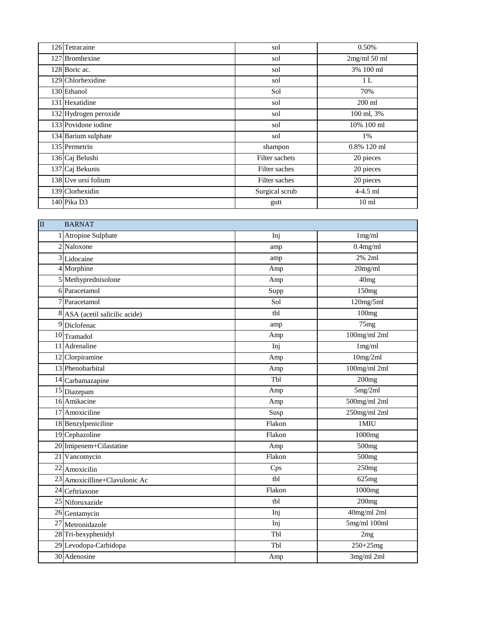| 126 Tetracaine        | sol            | 0.50%            |
|-----------------------|----------------|------------------|
| 127 Bromhexine        | sol            | 2mg/ml 50 ml     |
| 128 Boric ac.         | sol            | 3% 100 ml        |
| 129 Chlorhexidine     | sol            | 1 L              |
| 130 Ethanol           | Sol            | 70%              |
| 131 Hexatidine        | sol            | $200$ ml         |
| 132 Hydrogen peroxide | sol            | 100 ml, 3%       |
| 133 Povidone iodine   | sol            | 10% 100 ml       |
| 134 Barium sulphate   | sol            | 1%               |
| 135 Permetrin         | shampon        | 0.8% 120 ml      |
| 136 Caj Belushi       | Filter sachets | 20 pieces        |
| 137 Caj Bekunis       | Filter saches  | 20 pieces        |
| 138 Uve ursi folium   | Filter saches  | 20 pieces        |
| 139 Clorhexidin       | Surgical scrub | 4-4.5 ml         |
| 140 Pika D3           | gutt           | 10 <sub>ml</sub> |

| $\overline{\rm II}$ | <b>BARNAT</b>                  |        |                   |
|---------------------|--------------------------------|--------|-------------------|
|                     | 1 Atropine Sulphate            | Inj    | 1mg/ml            |
|                     | 2 Naloxone                     | amp    | $0.4$ mg/ml       |
|                     | <sup>3</sup> Lidocaine         | amp    | 2% 2ml            |
|                     | 4 Morphine                     | Amp    | $20$ mg/ml        |
|                     | 5 Methyprednisolone            | Amp    | 40 <sub>mg</sub>  |
|                     | 6 Paracetamol                  | Supp   | 150 <sub>mg</sub> |
|                     | 7 Paracetamol                  | Sol    | 120mg/5ml         |
|                     | 8 ASA (acetil salicilic acide) | tbl    | 100mg             |
|                     | <sup>9</sup> Diclofenac        | amp    | 75mg              |
|                     | 10 Tramadol                    | Amp    | 100mg/ml 2ml      |
|                     | 11 Adrenaline                  | Inj    | 1mg/ml            |
|                     | 12 Clorpiramine                | Amp    | 10mg/2ml          |
|                     | 13 Phenobarbital               | Amp    | 100mg/ml 2ml      |
|                     | 14 Carbamazapine               | Tbl    | 200 <sub>mg</sub> |
|                     | 15 Diazepam                    | Amp    | 5mg/2ml           |
|                     | 16 Amikacine                   | Amp    | 500mg/ml 2ml      |
|                     | 17 Amoxiciline                 | Susp   | 250mg/ml 2ml      |
|                     | 18 Benzylpeniciline            | Flakon | 1MIU              |
|                     | 19 Cephazoline                 | Flakon | 1000mg            |
|                     | 20 Imipenem+Cilastatine        | Amp    | 500mg             |
|                     | 21 Vancomycin                  | Flakon | 500mg             |
|                     | 22 Amoxicilin                  | Cps    | 250mg             |
|                     | 23 Amoxicilline+Clavulonic Ac  | tbl    | 625mg             |
|                     | 24 Ceftriaxone                 | Flakon | 1000mg            |
|                     | 25 Niforuxazide                | tbl    | 200mg             |
|                     | 26 Gentamycin                  | Inj    | 40mg/ml 2ml       |
|                     | 27 Metronidazole               | Inj    | 5mg/ml 100ml      |
|                     | 28 Tri-hexyphenidyl            | Tbl    | 2mg               |
|                     | 29 Levodopa-Carbidopa          | Tbl    | $250 + 25mg$      |
|                     | 30 Adenosine                   | Amp    | 3mg/ml 2ml        |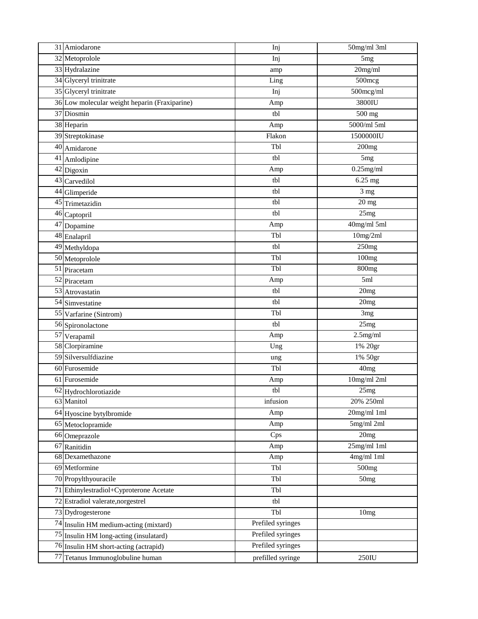| 31 Amiodarone                                 | Inj               | 50mg/ml 3ml       |
|-----------------------------------------------|-------------------|-------------------|
| 32 Metoprolole                                | Inj               | 5 <sub>mg</sub>   |
| 33 Hydralazine                                | amp               | 20mg/ml           |
| 34 Glyceryl trinitrate                        | Ling              | 500mcg            |
| 35 Glyceryl trinitrate                        | Inj               | 500mcg/ml         |
| 36 Low molecular weight heparin (Fraxiparine) | Amp               | 3800IU            |
| 37 Diosmin                                    | tbl               | 500 mg            |
| 38 Heparin                                    | Amp               | 5000/ml 5ml       |
| 39 Streptokinase                              | Flakon            | 1500000IU         |
| 40 Amidarone                                  | Tbl               | 200 <sub>mg</sub> |
| 41 Amlodipine                                 | tbl               | 5 <sub>mg</sub>   |
| 42 Digoxin                                    | Amp               | $0.25$ mg/ml      |
| 43 Carvedilol                                 | tbl               | 6.25 mg           |
| 44 Glimperide                                 | tbl               | 3 <sub>mg</sub>   |
| 45 Trimetazidin                               | tbl               | $20$ mg           |
| 46 Captopril                                  | tbl               | 25mg              |
| 47 Dopamine                                   | Amp               | 40mg/ml 5ml       |
| 48 Enalapril                                  | Tbl               | 10mg/2ml          |
| 49 Methyldopa                                 | tbl               | 250mg             |
| 50 Metoprolole                                | Tbl               | 100mg             |
| 51 Piracetam                                  | Tbl               | 800mg             |
| 52 Piracetam                                  | Amp               | 5ml               |
| 53 Atrovastatin                               | tbl               | 20mg              |
| 54 Simvestatine                               | tbl               | 20mg              |
| 55 Varfarine (Sintrom)                        | Tbl               | 3 <sub>mg</sub>   |
| 56 Spironolactone                             | tbl               | 25mg              |
| 57 Verapamil                                  | Amp               | $2.5$ mg/ml       |
| 58 Clorpiramine                               | Ung               | 1% 20gr           |
| 59 Silversulfdiazine                          | ung               | 1% 50gr           |
| 60 Furosemide                                 | Tbl               | 40 <sub>mg</sub>  |
| 61 Furosemide                                 | Amp               | 10mg/ml 2ml       |
| 62 Hydrochlorotiazide                         | tbl               | 25mg              |
| 63 Manitol                                    | infusion          | 20% 250ml         |
| 64 Hyoscine bytylbromide                      | Amp               | 20mg/ml 1ml       |
| 65 Metoclopramide                             | Amp               | 5mg/ml 2ml        |
| 66 Omeprazole                                 | Cps               | 20mg              |
| 67 Ranitidin                                  | Amp               | 25mg/ml 1ml       |
| 68 Dexamethazone                              | Amp               | 4mg/ml 1ml        |
| 69 Metformine                                 | Tbl               | 500mg             |
| 70 Propylthyouracile                          | Tbl               | 50mg              |
| 71 Ethinylestradiol+Cyproterone Acetate       | Tbl               |                   |
| 72 Estradiol valerate, norgestrel             | tbl               |                   |
| 73 Dydrogesterone                             | Tbl               | 10mg              |
| 74 Insulin HM medium-acting (mixtard)         | Prefiled syringes |                   |
| 75 Insulin HM long-acting (insulatard)        | Prefiled syringes |                   |
| 76 Insulin HM short-acting (actrapid)         | Prefiled syringes |                   |
| 77 Tetanus Immunoglobuline human              | prefilled syringe | 250IU             |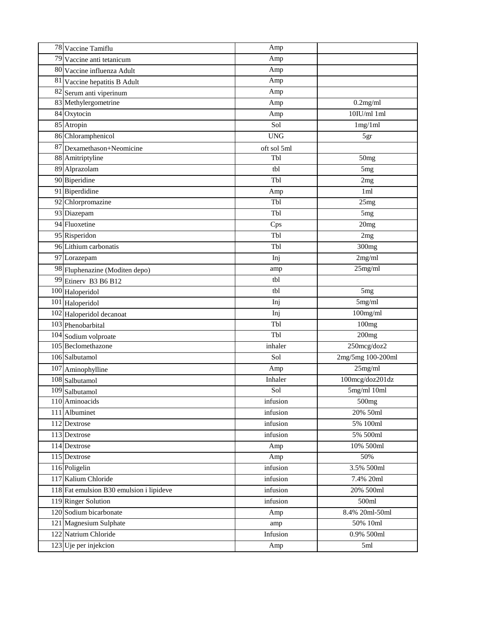| 78 Vaccine Tamiflu                       | Amp         |                   |
|------------------------------------------|-------------|-------------------|
| $\overline{79}$ Vaccine anti tetanicum   | Amp         |                   |
| 80 Vaccine influenza Adult               | Amp         |                   |
| 81 Vaccine hepatitis B Adult             | Amp         |                   |
| 82 Serum anti viperinum                  | Amp         |                   |
| 83 Methylergometrine                     | Amp         | $0.2$ mg/ml       |
| 84 Oxytocin                              | Amp         | $10$ IU/ml $1$ ml |
| 85 Atropin                               | Sol         | 1mg/1ml           |
| 86 Chloramphenicol                       | <b>UNG</b>  | 5gr               |
| 87 Dexamethason+Neomicine                | oft sol 5ml |                   |
| 88 Amitriptyline                         | Tbl         | 50mg              |
| 89 Alprazolam                            | tbl         | 5 <sub>mg</sub>   |
| 90 Biperidine                            | Tbl         | 2mg               |
| 91 Biperdidine                           | Amp         | 1ml               |
| 92 Chlorpromazine                        | Tbl         | 25mg              |
| 93 Diazepam                              | Tbl         | 5 <sub>mg</sub>   |
| 94 Fluoxetine                            | Cps         | 20mg              |
| 95 Risperidon                            | Tbl         | 2mg               |
| 96 Lithium carbonatis                    | Tbl         | 300mg             |
| 97 Lorazepam                             | Inj         | 2mg/ml            |
| 98 Fluphenazine (Moditen depo)           | amp         | 25mg/ml           |
| 99 Etinery B3 B6 B12                     | tbl         |                   |
| 100 Haloperidol                          | tbl         | 5 <sub>mg</sub>   |
| 101 Haloperidol                          | Inj         | 5mg/ml            |
| 102 Haloperidol decanoat                 | Inj         | 100mg/ml          |
| 103 Phenobarbital                        | Tbl         | 100mg             |
| 104 Sodium volproate                     | Tbl         | 200mg             |
| 105 Beclomethazone                       | inhaler     | $250$ mcg/doz $2$ |
| 106 Salbutamol                           | Sol         | 2mg/5mg 100-200ml |
| 107 Aminophylline                        | Amp         | 25mg/ml           |
| 108 Salbutamol                           | Inhaler     | 100mcg/doz201dz   |
| 109 Salbutamol                           | Sol         | 5mg/ml 10ml       |
| 110 Aminoacids                           | infusion    | 500mg             |
| 111 Albuminet                            | infusion    | 20% 50ml          |
| 112 Dextrose                             | infusion    | 5% 100ml          |
| 113 Dextrose                             | infusion    | 5% 500ml          |
| 114 Dextrose                             | Amp         | 10% 500ml         |
| 115 Dextrose                             | Amp         | 50%               |
| 116 Poligelin                            | infusion    | 3.5% 500ml        |
| 117 Kalium Chloride                      | infusion    | 7.4% 20ml         |
| 118 Fat emulsion B30 emulsion i lipideve | infusion    | 20% 500ml         |
| 119 Ringer Solution                      | infusion    | 500ml             |
| 120 Sodium bicarbonate                   | Amp         | 8.4% 20ml-50ml    |
| 121 Magnesium Sulphate                   | amp         | 50% 10ml          |
| 122 Natrium Chloride                     | Infusion    | 0.9% 500ml        |
| 123 Uje per injekcion                    | Amp         | $5ml$             |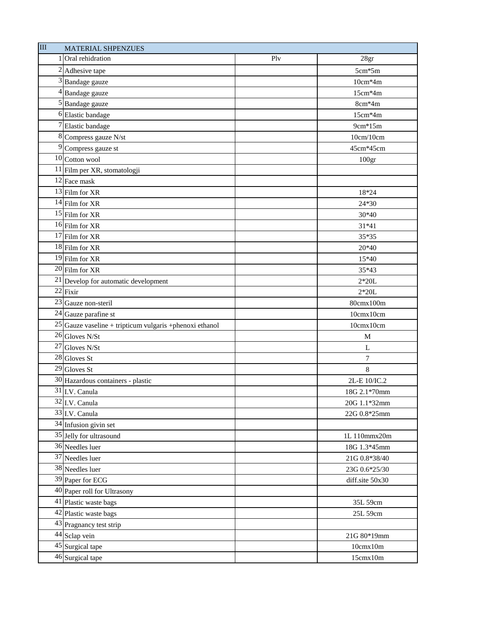| III | <b>MATERIAL SHPENZUES</b>                                  |     |                   |
|-----|------------------------------------------------------------|-----|-------------------|
|     | 1 Oral rehidration                                         | Plv | 28gr              |
|     | <sup>2</sup> Adhesive tape                                 |     | $5cm*5m$          |
|     | 3 Bandage gauze                                            |     | $10cm*4m$         |
|     | 4 Bandage gauze                                            |     | $15cm*4m$         |
|     | <sup>5</sup> Bandage gauze                                 |     | 8cm*4m            |
|     | <sup>6</sup> Elastic bandage                               |     | 15cm*4m           |
|     | <sup>7</sup> Elastic bandage                               |     | 9cm*15m           |
|     | 8 Compress gauze N/st                                      |     | 10cm/10cm         |
|     | <sup>9</sup> Compress gauze st                             |     | 45cm*45cm         |
|     | $10$ Cotton wool                                           |     | 100 <sub>gr</sub> |
|     | <sup>11</sup> Film per XR, stomatologji                    |     |                   |
|     | 12 Face mask                                               |     |                   |
|     | 13 Film for XR                                             |     | 18*24             |
|     | $14$ Film for XR                                           |     | 24*30             |
|     | 15 Film for XR                                             |     | 30*40             |
|     | 16 Film for XR                                             |     | 31*41             |
|     | 17 Film for XR                                             |     | 35*35             |
|     | 18 Film for XR                                             |     | 20*40             |
|     | 19 Film for XR                                             |     | 15*40             |
|     | 20 Film for XR                                             |     | 35*43             |
|     | 21 Develop for automatic development                       |     | $2*20L$           |
|     | $22$ Fixir                                                 |     | $2*20L$           |
|     | 23 Gauze non-steril                                        |     | 80cmx100m         |
|     | 24 Gauze parafine st                                       |     | 10cmx10cm         |
|     | $25$ Gauze vaseline + tripticum vulgaris + phenoxi ethanol |     | 10cmx10cm         |
|     | 26 Gloves N/St                                             |     | $\mathbf{M}$      |
|     | 27 Gloves N/St                                             |     | L                 |
|     | 28 Gloves St                                               |     | 7                 |
|     | $29$ Gloves St                                             |     | 8                 |
|     | 30 Hazardous containers - plastic                          |     | 2L-E 10/IC.2      |
|     | $\overline{31}$ I.V. Canula                                |     | 18G 2.1*70mm      |
|     | 32 I.V. Canula                                             |     | 20G 1.1*32mm      |
|     | 33 I.V. Canula                                             |     | 22G 0.8*25mm      |
|     | 34 Infusion givin set                                      |     |                   |
|     | 35 Jelly for ultrasound                                    |     | 1L 110mmx20m      |
|     | 36 Needles luer                                            |     | 18G 1.3*45mm      |
|     | 37 Needles luer                                            |     | 21G 0.8*38/40     |
|     | 38 Needles luer                                            |     | 23G 0.6*25/30     |
|     | 39 Paper for ECG                                           |     | diff.site 50x30   |
|     | 40 Paper roll for Ultrasony                                |     |                   |
|     | 41 Plastic waste bags                                      |     | 35L 59cm          |
|     | 42 Plastic waste bags                                      |     | 25L 59cm          |
|     | 43 Pragnancy test strip                                    |     |                   |
|     | 44 Sclap vein                                              |     | 21G 80*19mm       |
|     | 45 Surgical tape                                           |     | 10cmx10m          |
|     | 46 Surgical tape                                           |     | 15cmx10m          |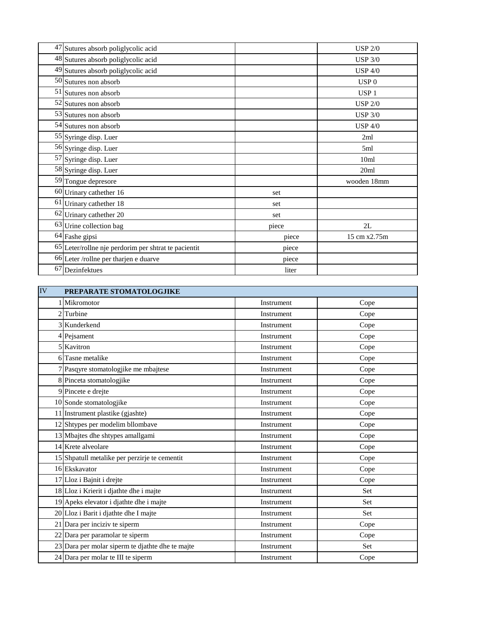| 47 Sutures absorb poliglycolic acid                  |       | <b>USP 2/0</b>   |
|------------------------------------------------------|-------|------------------|
| 48 Sutures absorb poliglycolic acid                  |       | <b>USP 3/0</b>   |
| 49 Sutures absorb poliglycolic acid                  |       | <b>USP 4/0</b>   |
| 50 Sutures non absorb                                |       | USP <sub>0</sub> |
| 51 Sutures non absorb                                |       | USP <sub>1</sub> |
| 52 Sutures non absorb                                |       | <b>USP 2/0</b>   |
| 53 Sutures non absorb                                |       | <b>USP 3/0</b>   |
| 54 Sutures non absorb                                |       | <b>USP 4/0</b>   |
| 55 Syringe disp. Luer                                |       | 2ml              |
| 56 Syringe disp. Luer                                |       | 5ml              |
| 57 Syringe disp. Luer                                |       | 10 <sub>ml</sub> |
| 58 Syringe disp. Luer                                |       | 20ml             |
| 59 Tongue depresore                                  |       | wooden 18mm      |
| 60 Urinary cathether 16                              | set   |                  |
| 61 Urinary cathether 18                              | set   |                  |
| 62 Urinary cathether 20                              | set   |                  |
| 63 Urine collection bag                              | piece | 2L               |
| 64 Fashe gipsi                                       | piece | 15 cm x2.75m     |
| 65 Leter/rollne nje perdorim per shtrat te pacientit | piece |                  |
| 66 Leter /rollne per tharjen e duarve                | piece |                  |
| 67 Dezinfektues                                      | liter |                  |

| IV | PREPARATE STOMATOLOGJIKE                         |            |      |
|----|--------------------------------------------------|------------|------|
|    | Mikromotor                                       | Instrument | Cope |
|    | 2 Turbine                                        | Instrument | Cope |
|    | 3 Kunderkend                                     | Instrument | Cope |
|    | 4 Pejsament                                      | Instrument | Cope |
|    | 5 Kavitron                                       | Instrument | Cope |
|    | 6 Tasne metalike                                 | Instrument | Cope |
|    | 7 Pasqyre stomatologjike me mbajtese             | Instrument | Cope |
|    | 8 Pinceta stomatologjike                         | Instrument | Cope |
|    | 9 Pincete e drejte                               | Instrument | Cope |
|    | 10 Sonde stomatologjike                          | Instrument | Cope |
|    | 11 Instrument plastike (gjashte)                 | Instrument | Cope |
|    | 12 Shtypes per modelim bllombave                 | Instrument | Cope |
|    | 13 Mbajtes dhe shtypes amallgami                 | Instrument | Cope |
|    | 14 Krete alveolare                               | Instrument | Cope |
|    | 15 Shpatull metalike per perzirje te cementit    | Instrument | Cope |
|    | 16 Ekskavator                                    | Instrument | Cope |
|    | 17 Lloz i Bajnit i drejte                        | Instrument | Cope |
|    | 18 Lloz i Krierit i djathte dhe i majte          | Instrument | Set  |
|    | 19 Apeks elevator i djathte dhe i majte          | Instrument | Set  |
|    | 20 Lloz i Barit i djathte dhe I majte            | Instrument | Set  |
|    | 21 Dara per inciziv te siperm                    | Instrument | Cope |
|    | 22 Dara per paramolar te siperm                  | Instrument | Cope |
|    | 23 Dara per molar siperm te djathte dhe te majte | Instrument | Set  |
|    | 24 Dara per molar te III te siperm               | Instrument | Cope |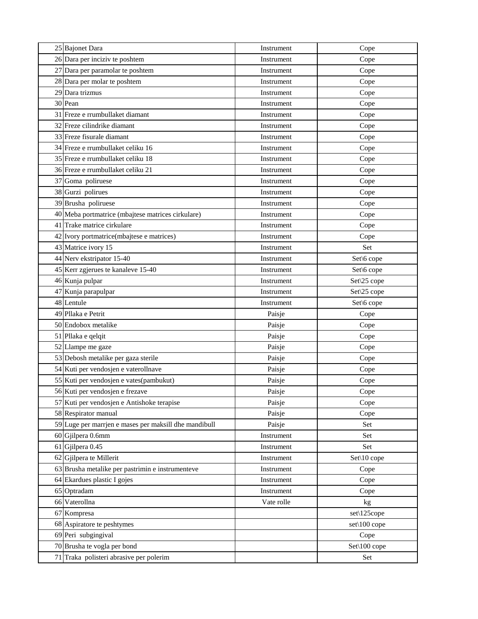| 25 Bajonet Dara                                       | Instrument | Cope         |
|-------------------------------------------------------|------------|--------------|
| 26 Dara per inciziv te poshtem                        | Instrument | Cope         |
| 27 Dara per paramolar te poshtem                      | Instrument | Cope         |
| 28 Dara per molar te poshtem                          | Instrument | Cope         |
| 29 Dara trizmus                                       | Instrument | Cope         |
| 30 Pean                                               | Instrument | Cope         |
| 31 Freze e rrumbullaket diamant                       | Instrument | Cope         |
| 32 Freze cilindrike diamant                           | Instrument | Cope         |
| 33 Freze fisurale diamant                             | Instrument | Cope         |
| 34 Freze e rrumbullaket celiku 16                     | Instrument | Cope         |
| 35 Freze e rrumbullaket celiku 18                     | Instrument | Cope         |
| 36 Freze e rrumbullaket celiku 21                     | Instrument | Cope         |
| 37 Goma poliruese                                     | Instrument | Cope         |
| 38 Gurzi polirues                                     | Instrument | Cope         |
| 39 Brusha poliruese                                   | Instrument | Cope         |
| 40 Meba portmatrice (mbajtese matrices cirkulare)     | Instrument | Cope         |
| 41 Trake matrice cirkulare                            | Instrument | Cope         |
| 42 Ivory portmatrice(mbajtese e matrices)             | Instrument | Cope         |
| 43 Matrice ivory 15                                   | Instrument | Set          |
| 44 Nerv ekstripator 15-40                             | Instrument | Set\6 cope   |
| 45 Kerr zgjerues te kanaleve 15-40                    | Instrument | Set\6 cope   |
| 46 Kunja pulpar                                       | Instrument | Set\25 cope  |
| 47 Kunja parapulpar                                   | Instrument | Set\25 cope  |
| 48 Lentule                                            | Instrument | Set\6 cope   |
| 49 Pllaka e Petrit                                    | Paisje     | Cope         |
| 50 Endobox metalike                                   | Paisje     | Cope         |
| 51 Pllaka e qelqit                                    | Paisje     | Cope         |
| 52 Llampe me gaze                                     | Paisje     | Cope         |
| 53 Debosh metalike per gaza sterile                   | Paisje     | Cope         |
| 54 Kuti per vendosjen e vaterollnave                  | Paisje     | Cope         |
| 55 Kuti per vendosjen e vates(pambukut)               | Paisje     | Cope         |
| 56 Kuti per vendosjen e frezave                       | Paisje     | Cope         |
| 57 Kuti per vendosjen e Antishoke terapise            | Paisje     | Cope         |
| 58 Respirator manual                                  | Paisje     | Cope         |
| 59 Luge per marrjen e mases per maksill dhe mandibull | Paisje     | Set          |
| 60 Gjilpera 0.6mm                                     | Instrument | Set          |
| 61 Gjilpera 0.45                                      | Instrument | Set          |
| 62 Gjilpera te Millerit                               | Instrument | Set\10 cope  |
| 63 Brusha metalike per pastrimin e instrumenteve      | Instrument | Cope         |
| 64 Ekardues plastic I gojes                           | Instrument | Cope         |
| 65 Optradam                                           | Instrument | Cope         |
| 66 Vaterollna                                         | Vate rolle | kg           |
| 67 Kompresa                                           |            | set\125cope  |
| 68 Aspiratore te peshtymes                            |            | set\100 cope |
| 69 Peri subgingival                                   |            | Cope         |
| 70 Brusha te vogla per bond                           |            | Set\100 cope |
| 71 Traka polisteri abrasive per polerim               |            | Set          |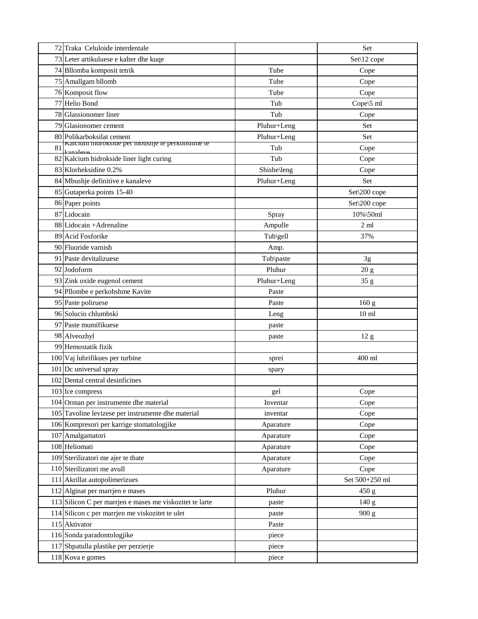|    | 72 Traka Celuloide interdentale                             |             | Set              |
|----|-------------------------------------------------------------|-------------|------------------|
|    | 73 Leter artikuluese e kalter dhe kuqe                      |             | Set\12 cope      |
|    | 74 Bllomba komposit tetrik                                  | Tube        | Cope             |
|    | 75 Amallgam bllomb                                          | Tube        | Cope             |
|    | 76 Komposit flow                                            | Tube        | Cope             |
|    | 77 Helio Bond                                               | Tub         | Cope\5 ml        |
|    | 78 Glassionomer liner                                       | Tub         | Cope             |
|    | 79 Glasionomer cement                                       | Pluhur+Leng | Set              |
|    | 80 Polikarboksilat cement                                   | Pluhur+Leng | Set              |
| 81 | Kalcium murokside per mousnje te perkonsnine te<br>kanaleye | Tub         | Cope             |
|    | 82 Kalcium hidrokside liner light curing                    | Tub         | Cope             |
|    | 83 Klorheksidine 0.2%                                       | Shishe\leng | Cope             |
|    | 84 Mbushje definitive e kanaleve                            | Pluhur+Leng | Set              |
|    | 85 Gutaperka points 15-40                                   |             | Set\200 cope     |
|    | 86 Paper points                                             |             | Set\200 cope     |
|    | 87 Lidocain                                                 | Spray       | 10%\50ml         |
|    | 88 Lidocain +Adrenaline                                     | Ampulle     | 2 <sub>ml</sub>  |
|    | 89 Acid Fosforike                                           | Tub\gell    | 37%              |
|    | 90 Fluoride varnish                                         | Amp.        |                  |
|    | 91 Paste devitalizuese                                      | Tub\paste   | 3g               |
|    | 92 Jodoform                                                 | Pluhur      | 20 g             |
|    | 93 Zink oxide eugenol cement                                | Pluhur+Leng | 35 g             |
|    | 94 Pllombe e perkohshme Kavite                              | Paste       |                  |
|    | 95 Paste poliruese                                          | Paste       | 160 g            |
|    | 96 Solucio chlumbski                                        | Leng        | 10 <sub>ml</sub> |
|    | 97 Paste mumifikuese                                        | paste       |                  |
|    | 98 Alveozhyl                                                | paste       | $12\ {\rm g}$    |
|    | 99 Hemostatik fizik                                         |             |                  |
|    | 100 Vaj lubrifikues per turbine                             | sprei       | 400 ml           |
|    | 101 Dc universal spray                                      | spary       |                  |
|    | 102 Dental central desinficines                             |             |                  |
|    | 103 Ice compress                                            | gel         | Cope             |
|    | 104 Orman per instrumente dhe material                      | Inventar    | Cope             |
|    | 105 Tavoline levizese per instrumente dhe material          | inventar    | Cope             |
|    | 106 Kompresori per karrige stomatologjike                   | Aparature   | Cope             |
|    | 107 Amalgamatori                                            | Aparature   | Cope             |
|    | 108 Heliomati                                               | Aparature   | Cope             |
|    | 109 Sterilizatori me ajer te thate                          | Aparature   | Cope             |
|    | 110 Sterilizatori me avull                                  | Aparature   | Cope             |
|    | 111 Akrillat autopolimerizues                               |             | Set 500+250 ml   |
|    | 112 Alginat per marrjen e mases                             | Pluhur      | 450 g            |
|    | 113 Silicon C per marrien e mases me viskozitet te larte    | paste       | 140 <sub>g</sub> |
|    | 114 Silicon c per marrjen me viskozitet te ulet             | paste       | 900 g            |
|    | 115 Aktivator                                               | Paste       |                  |
|    | 116 Sonda paradontologjike                                  | piece       |                  |
|    | 117 Shpatulla plastike per perzierje                        | piece       |                  |
|    | 118 Kova e gomes                                            | piece       |                  |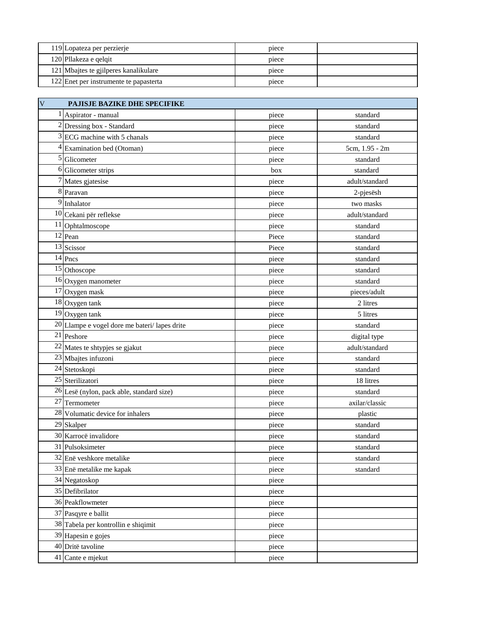| 119 Lopateza per perzierje             | piece |  |
|----------------------------------------|-------|--|
| 120 Pllakeza e qelqit                  | piece |  |
| 121 Mbajtes te gjilperes kanalikulare  | piece |  |
| 122 Enet per instrumente te papasterta | piece |  |

| $\overline{\mathsf{V}}$<br>PAJISJE BAZIKE DHE SPECIFIKE |                                              |       |                |
|---------------------------------------------------------|----------------------------------------------|-------|----------------|
|                                                         | 1 Aspirator - manual                         | piece | standard       |
|                                                         | 2 Dressing box - Standard                    | piece | standard       |
|                                                         | 3 ECG machine with 5 chanals                 | piece | standard       |
| $\overline{4}$                                          | Examination bed (Otoman)                     | piece | 5cm, 1.95 - 2m |
|                                                         | 5 Glicometer                                 | piece | standard       |
|                                                         | 6 Glicometer strips                          | box   | standard       |
|                                                         | Mates gjatesise                              | piece | adult/standard |
|                                                         | 8 Paravan                                    | piece | 2-pjesësh      |
|                                                         | 9 Inhalator                                  | piece | two masks      |
|                                                         | 10 Cekani për reflekse                       | piece | adult/standard |
|                                                         | 11 Ophtalmoscope                             | piece | standard       |
|                                                         | 12 Pean                                      | Piece | standard       |
|                                                         | 13 Scissor                                   | Piece | standard       |
|                                                         | $14$ Pncs                                    | piece | standard       |
|                                                         | 15 Othoscope                                 | piece | standard       |
|                                                         | 16 Oxygen manometer                          | piece | standard       |
|                                                         | 17 Oxygen mask                               | piece | pieces/adult   |
|                                                         | 18 Oxygen tank                               | piece | 2 litres       |
|                                                         | $19$ Oxygen tank                             | piece | 5 litres       |
|                                                         | 20 Llampe e vogel dore me bateri/lapes drite | piece | standard       |
|                                                         | 21 Peshore                                   | piece | digital type   |
|                                                         | 22 Mates te shtypjes se gjakut               | piece | adult/standard |
|                                                         | 23 Mbajtes infuzoni                          | piece | standard       |
|                                                         | 24 Stetoskopi                                | piece | standard       |
|                                                         | 25 Sterilizatori                             | piece | 18 litres      |
|                                                         | 26 Lesë (nylon, pack able, standard size)    | piece | standard       |
|                                                         | 27 Termometer                                | piece | axilar/classic |
|                                                         | 28 Volumatic device for inhalers             | piece | plastic        |
|                                                         | 29 Skalper                                   | piece | standard       |
|                                                         | 30 Karrocë invalidore                        | piece | standard       |
|                                                         | 31 Pulsoksimeter                             | piece | standard       |
|                                                         | 32 Enë veshkore metalike                     | piece | standard       |
|                                                         | 33 Enë metalike me kapak                     | piece | standard       |
|                                                         | 34 Negatoskop                                | piece |                |
|                                                         | 35 Defibrilator                              | piece |                |
|                                                         | 36 Peakflowmeter                             | piece |                |
|                                                         | 37 Pasqyre e ballit                          | piece |                |
|                                                         | 38 Tabela per kontrollin e shiqimit          | piece |                |
|                                                         | 39 Hapesin e gojes                           | piece |                |
|                                                         | 40 Dritë tavoline                            | piece |                |
|                                                         | 41 Cante e mjekut                            | piece |                |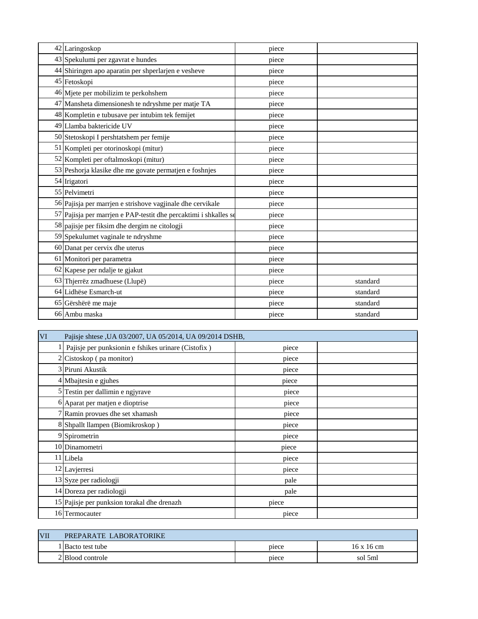| 42 Laringoskop                                                   | piece |          |
|------------------------------------------------------------------|-------|----------|
| 43 Spekulumi per zgavrat e hundes                                | piece |          |
| 44 Shiringen apo aparatin per shperlarjen e vesheve              | piece |          |
| 45 Fetoskopi                                                     | piece |          |
| 46 Mjete per mobilizim te perkohshem                             | piece |          |
| 47 Mansheta dimensionesh te ndryshme per matje TA                | piece |          |
| 48 Kompletin e tubusave per intubim tek femijet                  | piece |          |
| 49 Llamba baktericide UV                                         | piece |          |
| 50 Stetoskopi I pershtatshem per femije                          | piece |          |
| 51 Kompleti per otorinoskopi (mitur)                             | piece |          |
| 52 Kompleti per oftalmoskopi (mitur)                             | piece |          |
| 53 Peshorja klasike dhe me govate permatjen e foshnjes           | piece |          |
| 54 Irigatori                                                     | piece |          |
| 55 Pelvimetri                                                    | piece |          |
| 56 Pajisja per marrjen e strishove vagjinale dhe cervikale       | piece |          |
| 57 Pajisja per marrjen e PAP-testit dhe percaktimi i shkalles se | piece |          |
| 58 pajisje per fiksim dhe dergim ne citologji                    | piece |          |
| 59 Spekulumet vaginale te ndryshme                               | piece |          |
| 60 Danat per cervix dhe uterus                                   | piece |          |
| 61 Monitori per parametra                                        | piece |          |
| 62 Kapese per ndalje te gjakut                                   | piece |          |
| 63 Thjerrëz zmadhuese (Llupë)                                    | piece | standard |
| 64 Lidhëse Esmarch-ut                                            | piece | standard |
| 65 Gërshërë me maje                                              | piece | standard |
| 66 Ambu maska                                                    | piece | standard |

| VI | Pajisje shtese , UA 03/2007, UA 05/2014, UA 09/2014 DSHB, |       |  |  |
|----|-----------------------------------------------------------|-------|--|--|
|    | Pajisje per punksionin e fshikes urinare (Cistofix)       | piece |  |  |
|    | $2$ Cistoskop (pa monitor)                                | piece |  |  |
|    | 3 Piruni Akustik                                          | piece |  |  |
|    | 4 Mbajtesin e gjuhes                                      | piece |  |  |
|    | 5 Testin per dallimin e ngjyrave                          | piece |  |  |
|    | 6 Aparat per matjen e dioptrise                           | piece |  |  |
|    | 7 Ramin provues dhe set xhamash                           | piece |  |  |
|    | 8 Shpallt llampen (Biomikroskop)                          | piece |  |  |
|    | 9 Spirometrin                                             | piece |  |  |
|    | 10 Dinamometri                                            | piece |  |  |
|    | 11 Libela                                                 | piece |  |  |
|    | 12 Lavjerresi                                             | piece |  |  |
|    | 13 Syze per radiologji                                    | pale  |  |  |
|    | 14 Doreza per radiologji                                  | pale  |  |  |
|    | 15 Pajisje per punksion torakal dhe drenazh               | piece |  |  |
|    | 16 Termocauter                                            | piece |  |  |

| <b>VII</b> | PREPARATE LABORATORIKE |       |                   |
|------------|------------------------|-------|-------------------|
|            | Bacto test tube        | piece | $16 \times 16$ cm |
|            | 2 Blood controle       | piece | sol 5ml           |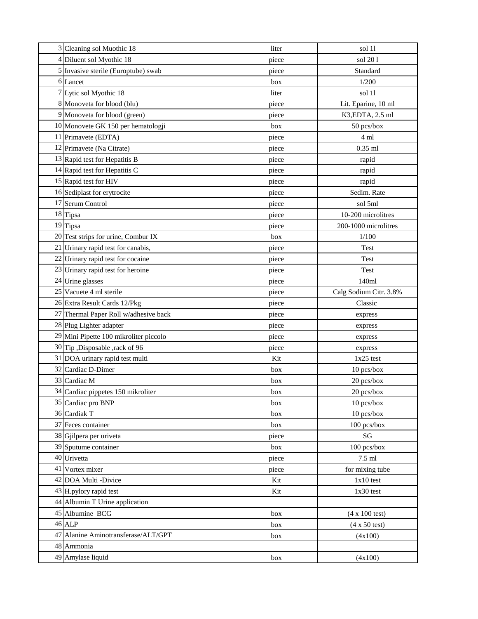| 3 Cleaning sol Muothic 18              | liter | sol 11                        |
|----------------------------------------|-------|-------------------------------|
| 4 Diluent sol Myothic 18               | piece | sol 201                       |
| 5 Invasive sterile (Europtube) swab    | piece | Standard                      |
| 6 Lancet                               | box   | 1/200                         |
| 7 Lytic sol Myothic 18                 | liter | sol 11                        |
| 8 Monoveta for blood (blu)             | piece | Lit. Eparine, 10 ml           |
| 9 Monoveta for blood (green)           | piece | K3, EDTA, 2.5 ml              |
| 10 Monovete GK 150 per hematologji     | box   | 50 pcs/box                    |
| 11 Primavete (EDTA)                    | piece | 4 ml                          |
| 12 Primavete (Na Citrate)              | piece | $0.35$ ml                     |
| 13 Rapid test for Hepatitis B          | piece | rapid                         |
| 14 Rapid test for Hepatitis C          | piece | rapid                         |
| 15 Rapid test for HIV                  | piece | rapid                         |
| 16 Sediplast for erytrocite            | piece | Sedim. Rate                   |
| 17 Serum Control                       | piece | sol 5ml                       |
| 18 Tipsa                               | piece | 10-200 microlitres            |
| 19 Tipsa                               | piece | 200-1000 microlitres          |
| 20 Test strips for urine, Combur IX    | box   | 1/100                         |
| 21 Urinary rapid test for canabis,     | piece | Test                          |
| 22 Urinary rapid test for cocaine      | piece | Test                          |
| 23 Urinary rapid test for heroine      | piece | Test                          |
| 24 Urine glasses                       | piece | 140ml                         |
| 25 Vacuete 4 ml sterile                | piece | Calg Sodium Citr. 3.8%        |
| 26 Extra Result Cards 12/Pkg           | piece | Classic                       |
| 27 Thermal Paper Roll w/adhesive back  | piece | express                       |
| 28 Plug Lighter adapter                | piece | express                       |
| 29 Mini Pipette 100 mikroliter piccolo | piece | express                       |
| 30 Tip ,Disposable ,rack of 96         | piece | express                       |
| 31 DOA urinary rapid test multi        | Kit   | $1x25$ test                   |
| 32 Cardiac D-Dimer                     | box   | 10 pcs/box                    |
| 33 Cardiac M                           | box   | 20 pcs/box                    |
| 34 Cardiac pippetes 150 mikroliter     | box   | 20 pcs/box                    |
| 35 Cardiac pro BNP                     | box   | 10 pcs/box                    |
| 36 Cardiak T                           | box   | 10 pcs/box                    |
| 37 Feces container                     | box   | 100 pcs/box                   |
| 38 Gjilpera per uriveta                | piece | SG                            |
| 39 Sputume container                   | box   | 100 pcs/box                   |
| 40 Urivetta                            | piece | $7.5$ ml                      |
| 41 Vortex mixer                        | piece | for mixing tube               |
| 42 DOA Multi -Divice                   | Kit   | $1x10$ test                   |
| 43 H.pylory rapid test                 | Kit   | $1x30$ test                   |
| 44 Albumin T Urine application         |       |                               |
| 45 Albumine BCG                        | box   | $(4 \times 100 \text{ test})$ |
| 46 ALP                                 | box   | $(4 \times 50 \text{ test})$  |
| 47 Alanine Aminotransferase/ALT/GPT    | box   | (4x100)                       |
| 48 Ammonia                             |       |                               |
| 49 Amylase liquid                      | box   | (4x100)                       |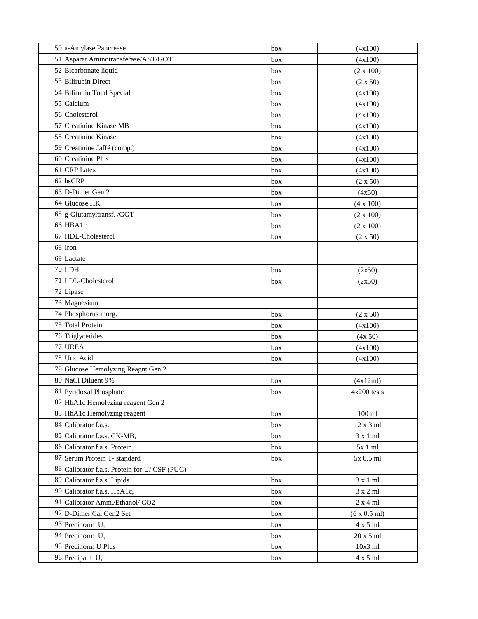| 50 a-Amylase Pancrease                       | box | (4x100)                     |
|----------------------------------------------|-----|-----------------------------|
| 51 Asparat Aminotransferase/AST/GOT          | box | (4x100)                     |
| 52 Bicarbonate liquid                        | box | $(2 \times 100)$            |
| 53 Bilirubin Direct                          | box | $(2 \times 50)$             |
| 54 Bilirubin Total Special                   | box | (4x100)                     |
| 55 Calcium                                   | box | (4x100)                     |
| 56 Cholesterol                               | box | (4x100)                     |
| 57 Creatinine Kinase MB                      | box | (4x100)                     |
| 58 Creatinine Kinase                         | box | (4x100)                     |
| 59 Creatinine Jaffé (comp.)                  | box | (4x100)                     |
| 60 Creatinine Plus                           | box | (4x100)                     |
| 61 CRP Latex                                 | box | (4x100)                     |
| 62 hsCRP                                     | box | (2 x 50)                    |
| 63 D-Dimer Gen.2                             | box | (4x50)                      |
| 64 Glucose HK                                | box | $(4 \times 100)$            |
| 65 g-Glutamyltransf. /GGT                    | box | (2 x 100)                   |
| 66 HBA1c                                     | box | (2 x 100)                   |
| 67 HDL-Cholesterol                           | box | (2 x 50)                    |
| 68 Iron                                      |     |                             |
| 69 Lactate                                   |     |                             |
| 70 LDH                                       | box | (2x50)                      |
| 71 LDL-Cholesterol                           | box | (2x50)                      |
| 72 Lipase                                    |     |                             |
| 73 Magnesium                                 |     |                             |
| 74 Phosphorus inorg.                         | box | (2 x 50)                    |
| 75 Total Protein                             | box | (4x100)                     |
| 76 Triglycerides                             | box | (4x 50)                     |
| 77 UREA                                      | box | (4x100)                     |
| 78 Uric Acid                                 | box | (4x100)                     |
| 79 Glucose Hemolyzing Reagnt Gen 2           |     |                             |
| 80 NaCl Diluent 9%                           | box | (4x12ml)                    |
| 81 Pyridoxal Phosphate                       | box | 4x200 tests                 |
| 82 HbA1c Hemolyzing reagent Gen 2            |     |                             |
| 83 HbA1c Hemolyzing reagent                  | box | $100$ ml                    |
| 84 Calibrator f.a.s.,                        | box | 12 x 3 ml                   |
| 85 Calibrator f.a.s. CK-MB,                  | box | 3x1ml                       |
| 86 Calibrator f.a.s. Protein,                | box | $5x1$ ml                    |
| 87 Serum Protein T- standard                 | box | 5x 0,5 ml                   |
| 88 Calibrator f.a.s. Protein for U/CSF (PUC) |     |                             |
| 89 Calibrator f.a.s. Lipids                  | box | 3x1ml                       |
| 90 Calibrator f.a.s. HbA1c,                  | box | 3 x 2 ml                    |
| 91 Calibrator Amm./Ethanol/ CO2              | box | 2x4ml                       |
| 92 D-Dimer Cal Gen2 Set                      | box | $(6 \times 0.5 \text{ ml})$ |
| 93 Precinorm U,                              | box | $4 \times 5$ ml             |
| 94 Precinorm U,                              | box | $20$ x 5 ml $\,$            |
| 95 Precinorm U Plus                          | box | $10x3$ ml                   |
| 96 Precipath U,                              | box | 4 x 5 ml                    |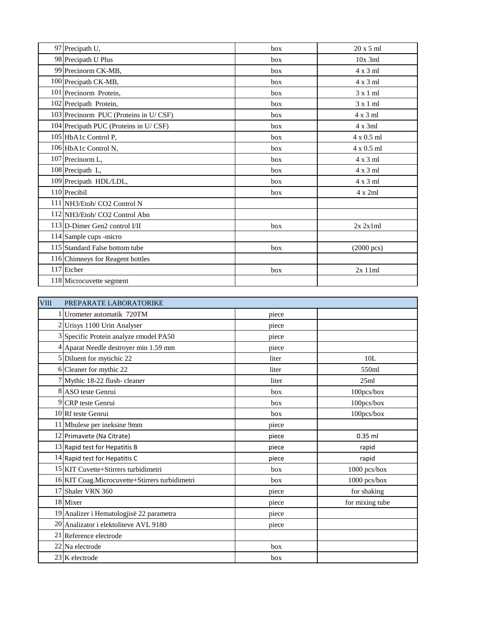| 97 Precipath U,                       | box | $20x5$ ml            |
|---------------------------------------|-----|----------------------|
| 98 Precipath U Plus                   | box | $10x$ 3ml            |
| 99 Precinorm CK-MB,                   | box | $4 \times 3$ ml      |
| 100 Precipath CK-MB,                  | box | $4 \times 3$ ml      |
| 101 Precinorm Protein,                | box | $3 \times 1$ ml      |
| 102 Precipath Protein,                | box | $3 \times 1$ ml      |
| 103 Precinorm PUC (Proteins in U/CSF) | box | $4 \times 3$ ml      |
| 104 Precipath PUC (Proteins in U/CSF) | box | $4x$ 3ml             |
| 105 HbA1c Control P,                  | box | $4 \times 0.5$ ml    |
| 106 HbA1c Control N,                  | box | $4 \times 0.5$ ml    |
| 107 Precinorm L,                      | box | 4 x 3 ml             |
| 108 Precipath L,                      | box | $4 \times 3$ ml      |
| 109 Precipath HDL/LDL,                | hox | $4 \times 3$ ml      |
| 110 Precibil                          | box | $4 \times 2ml$       |
| 111 NH3/Etoh/ CO2 Control N           |     |                      |
| 112 NH3/Etoh/ CO2 Control Abn         |     |                      |
| 113 D-Dimer Gen2 control I/II         | box | 2x 2x1ml             |
| 114 Sample cups -micro                |     |                      |
| 115 Standard False bottom tube        | box | $(2000 \text{ pcs})$ |
| 116 Chimneys for Reagent bottles      |     |                      |
| 117 Etcher                            | box | 2x11ml               |
| 118 Microcuvette segment              |     |                      |

| <b>VIII</b> | PREPARATE LABORATORIKE                         |       |                 |
|-------------|------------------------------------------------|-------|-----------------|
|             | 1 Urometer automatik 720TM                     | piece |                 |
|             | 2 Urisys 1100 Urin Analyser                    | piece |                 |
|             | 3 Specific Protein analyze rmodel PA50         | piece |                 |
|             | 4 Aparat Needle destroyer min 1.59 mm          | piece |                 |
|             | 5 Diluent for mytichic 22                      | liter | 10L             |
|             | 6 Cleaner for mythic 22                        | liter | 550ml           |
|             | 7 Mythic 18-22 flush-cleaner                   | liter | 25ml            |
|             | 8 ASO teste Genrui                             | box   | 100pcs/box      |
|             | 9 CRP teste Genrui                             | hox   | 100pcs/box      |
|             | 10 Rf teste Genrui                             | box   | 100pcs/box      |
|             | 11 Mbulese per ineksine 9mm                    | piece |                 |
|             | 12 Primavete (Na Citrate)                      | piece | $0.35$ ml       |
|             | 13 Rapid test for Hepatitis B                  | piece | rapid           |
|             | 14 Rapid test for Hepatitis C                  | piece | rapid           |
|             | 15 KIT Cuvette+Stirrers turbidimetri           | box   | 1000 pcs/box    |
|             | 16 KIT Coag.Microcuvette+Stirrers turbidimetri | box   | 1000 pcs/box    |
|             | 17 Shaler VRN 360                              | piece | for shaking     |
|             | 18 Mixer                                       | piece | for mixing tube |
|             | 19 Analizer i Hematologjisë 22 parametra       | piece |                 |
|             | 20 Analizator i elektoliteve AVL 9180          | piece |                 |
|             | 21 Reference electrode                         |       |                 |
|             | 22 Na electrode                                | box   |                 |
|             | 23 K electrode                                 | box   |                 |